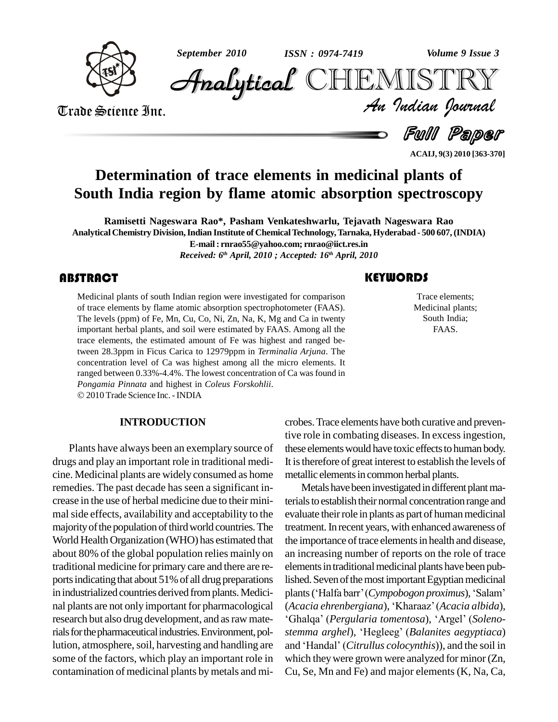

*September 2010 Volume 9 Issue 3 ISSN : 0974-7419*

*Volume 9 Issue 3*<br>IISTRY<br>*Indian Iournal* CHEMISTRY

Trade Science Inc. Trade Science Inc.

Full Paper

**ACAIJ, 9(3) 2010 [363-370]**

# **Determination of trace elements in medicinal plants of South India region by flame atomic absorption spectroscopy**

**Ramisetti Nageswara Rao\*, Pasham Venkateshwarlu, Tejavath Nageswara Rao Analytical Chemistry Division,Indian Institute of ChemicalTechnology,Tarnaka, Hyderabad - 500 607,(INDIA) E-mail: [rnrao55@yahoo.com;](mailto:rnrao55@yahoo.com;) [rnrao@iict.res.in](mailto:rnrao@iict.res.in)** *Received: 6 th April, 2010 ; Accepted: 16 th April, 2010*

Medicinal plants of south Indian region were investigated for comparison<br>of trace elements by flame atomic absorption spectrophotometer (FAAS).<br>The levels (ppm) of Fe, Mn, Cu, Co, Ni, Zn, Na, K, Mg and Ca in twenty Medicinal plants of south Indian region were investigated for comparison of trace elements by flame atomic absorption spectrophotometer (FAAS). important herbal plants, and soil were estimated by FAAS. Among all the trace elements, the estimated amount of Fe was highest and ranged between 28.3ppm in Ficus Carica to 12979ppm in *Terminalia Arjuna*. The concentration level of Ca was highest among all the micro elements. It ranged between 0.33%-4.4%. The lowest concentration of Ca was found in *Pongamia Pinnata* and highest in *Coleus Forskohlii*.

2010 Trade Science Inc. -INDIA

#### **INTRODUCTION**

Plants have always been an exemplary source of drugs and play an important role in traditional medi cine. Medicinal plants are widely consumed as home remedies. The past decade has seen a significant increase in the use of herbal medicine due to their mini malside effects, availability and acceptability to the majority of the population of third world countries. The World Health Organization (WHO) has estimated that about 80% of the global population relies mainly on traditional medicine for primary care and there are re ports indicating that about 51% of all drug preparations in industrialized countries derived from plants. Medici-<br>plants ('Halfa barr' (Cympobogon proximus), 'Salam' nal plants are not only important for pharmacological research but also drug development, and as raw mate- 'Ghalqa' (Pergularia tomentosa), 'Argel' (Solenorials for the pharmaceutical industries. Environment, pollution, atmosphere, soil, harvesting and handling are and 'Handal' (Citrullus colocynthis)), and the soil in some of the factors, which play an important role in contamination of medicinal plants by metals and mi-

#### **KEYWORDS**

Trace element<br>
Medicinal plar<br>
South India; Trace elements; Medicinal plants; South India; FAAS.

crobes.Trace elements have both curative and preventive role in combating diseases. In excessingestion, these elements would have toxic effects to human body. It is therefore of great interest to establish the levels of metallic elements in common herbal plants.

Metals have been investigated in different plant materials to establish their normal concentration range and evaluate their role in plants as part of human medicinal treatment.In recent years, with enhanced awareness of the importance of trace elements in health and disease, an increasing number of reports on the role of trace elements in traditional medicinal plants have been pub-<br>lished. Seven of the most important Egyptian medicinal<br>plants ('Halfa barr' (*Cympobogon proximus*), 'Salam' lished. Seven of the most important Egyptian medicinal<br>plants ('Halfa barr' (*Cympobogon proximus*), 'Salam'<br>(*Acacia ehrenbergiana*), 'Kharaaz' (*Acacia albida*), (*Acacia ehrenbergiana*), 'Kharaaz' (*Acacia albida*), (Acacia ehrenbergiana), 'Kharaaz' (Acacia albida),<br>'Ghalqa' (Pergularia tomentosa), 'Argel' (Soleno-<br>stemma arghel), 'Hegleeg' (Balanites aegyptiaca) 'Ghalqa' (*Pergularia tomentosa*), 'Argel' (*Soleno-<br>stemma arghel*), 'Hegleeg' (*Balanites aegyptiaca*)<br>and 'Handal' (*Citrullus colocynthis*)), and the soil in which they were grown were analyzed for minor (Zn, Cu, Se, Mn and Fe) and major elements(K, Na, Ca,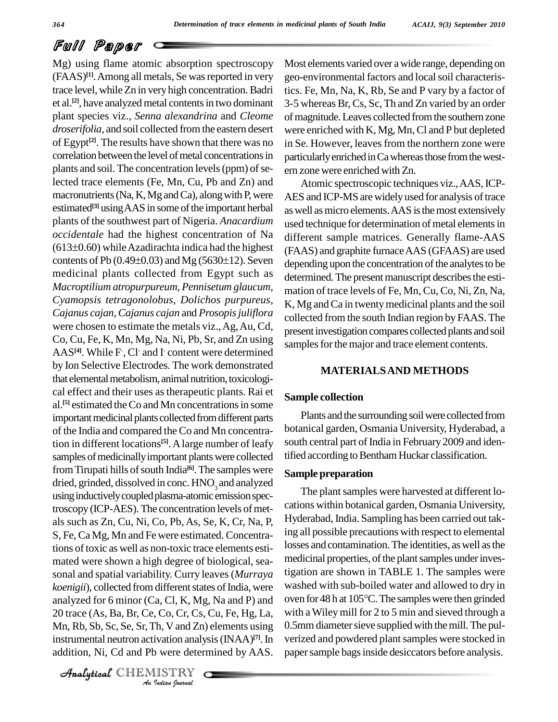# Full Paper

analyzed for 6 minor (Ca, Cl, K, Mg, Na and P) and oven for *I*, *Co*, *Cr*, *Cs*, *Co*, *Cr*, *Cs*, *In*, *V* and *Zn*)<br>ivation analy<br>by were deter<br>*IISTRY*  $20$  trace (As, Ba, Br, Ce, Co, Cr, Cs, Cu, Fe, Hg, La, w) Mg) using flame atomic absorption spectroscopy (FAAS)<sup>[1]</sup>. Among all metals, Se was reported in very geo-en trace level, while Zn in very high concentration. Badri et al.<sup>[2]</sup>, have analyzed metal contents in two dominant 3plant species viz., *Senna alexandrina* and *Cleome droserifolia,* and soil collected fromthe eastern desert of Egypt<sup>[2]</sup>. The results have shown that there was no in Se. I correlation between the level of metal concentrations in plants and soil. The concentration levels (ppm) of selected trace elements (Fe, Mn, Cu, Pb and Zn) and macronutrients (Na, K, Mg and Ca), along with P, were estimated<sup>[3]</sup> using AAS in some of the important herbal  $_{88}$ plants of the southwest part of Nigeria. *Anacardium occidentale* had the highest concentration of Na plants of the southwest part of Nigeria. *Anacardium*<br>
occidentale had the highest concentration of Na<br>
(613±0.60) while Azadirachta indica had the highest *occidentale* had the highest concentration of Na<br>(613±0.60) while Azadirachta indica had the highest (FAAS<br>contents of Pb (0.49±0.03) and Mg (5630±12). Seven depend medicinal plants collected from Egypt such as *Macroptilium atropurpureum*, *Pennisetum glaucum*, *Cyamopsis tetragonolobus*, *Dolichos purpureus*, *Cajanus cajan*,*Cajanus cajan* and *Prosopisjuliflora* were chosen to estimate the metals viz., Ag, Au, Cd, Co, Cu, Fe, K, Mn, Mg, Na, Ni, Pb, Sr, and Zn using AAS<sup>[4]</sup>. While F, Cl and I content were determined by Ion Selective Electrodes. The work demonstrated that elemental metabolism, animal nutrition, toxicological effect and their uses as therapeutic plants. Rai et al.<sup>[5]</sup> estimated the Co and Mn concentrations in some important medicinal plants collected from different parts of the India and compared theCo and Mn concentration in different locations<sup>[5]</sup>. A large number of leafy south c samples of medicinally important plants were collected from Tirupati hills of south India<sup>[6]</sup>. The samples were Samp dried, grinded, dissolved in conc.  $HNO<sub>3</sub>$  and analyzed using inductively coupled plasma-atomic emission spectroscopy (ICP-AES). The concentration levels of metals such as Zn, Cu, Ni, Co, Pb, As, Se, K, Cr, Na, P, S, Fe, Ca Mg, Mn and Fe were estimated. Concentrations of toxic as well as non-toxic trace elements estimated were shown a high degree of biological, sea sonal and spatial variability. Curry leaves(*Murraya* Mn, Rb, Sb, Sc, Se, Sr,Th, V and Zn) elements using instrumental neutron activation analysis (INAA)<sup>[7]</sup>. In addition, Ni, Cd and Pb were determined by AAS.

CHEMISTRY

Most elements varied over awide range, depending on geo-environmental factors and local soil characteristics. Fe, Mn, Na, K, Rb, Se and P vary by a factor of 3-5 whereas Br, Cs, Sc, Th and Zn varied by an order of magnitude. Leaves collected from the southern zone were enriched with K, Mg, Mn, Cl and P but depleted in Se. However, leaves from the northern zone were particularly enriched in Ca whereas those from the western zone were enriched with Zn.

Atomic spectroscopic techniques viz., AAS, ICP-AES and ICP-MS are widely used for analysis of trace as well as micro elements. AAS is the most extensively used technique for determination of metal elements in different sample matrices. Generally flame-AAS (FAAS) and graphite furnaceAAS (GFAAS) are used depending upon the concentration of the analytes to be determined. The present manuscript describes the estimation of trace levels of Fe, Mn, Cu, Co, Ni, Zn, Na, K, Mg and Ca in twenty medicinal plants and the soil collected from the south Indian region by FAAS.The presentinvestigation compares collected plants and soil samples for the major and trace element contents.

#### **MATERIALSAND METHODS**

#### **Sample collection**

Plants and the surrounding soil were collected from botanical garden, Osmania University, Hyderabad, a south central part of India in February 2009 and identified according to Bentham Huckar classification.

#### **Sample preparation**

*koenigii*), collected from different states of India, were washed with sub-boiled water and allowed to dry in analyzed for 6 minor (Ca. Cl. K. Mg. Na and P) and oven for 48 h at 105<sup>o</sup>C. The samples were then grinded **[7]**.In verized and powdered plantsamples were stocked in The plant samples were harvested at different locations within botanical garden, Osmania University, Hyderabad, India. Sampling has been carried out taking all possible precautions with respect to elemental losses and contamination.The identities, aswell asthe medicinal properties, of the plant samples under investigation are shown in TABLE 1. The samples were washed with sub-boiled water and allowed to dry in tigation are shown in TABLE 1. The samples were<br>washed with sub-boiled water and allowed to dry in<br>oven for 48 h at 105°C. The samples were then grinded with aWileymill for 2 to 5 min and sieved through a 0.5mm diameter sieve supplied with the mill. The pulpaper sample bags inside desiccators before analysis.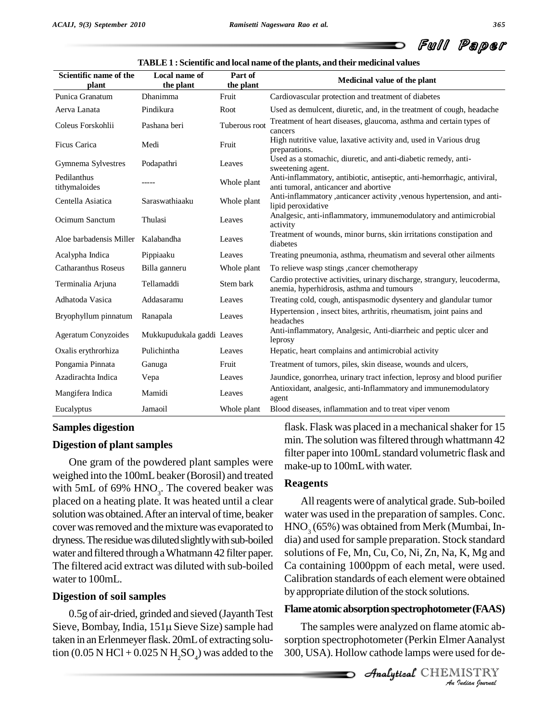| Scientific name of the<br>plant | Local name of<br>the plant | Part of<br>the plant | Medicinal value of the plant                                                                                         |
|---------------------------------|----------------------------|----------------------|----------------------------------------------------------------------------------------------------------------------|
| Punica Granatum                 | Dhanimma                   | Fruit                | Cardiovascular protection and treatment of diabetes                                                                  |
| Aerva Lanata                    | Pindikura                  | Root                 | Used as demulcent, diuretic, and, in the treatment of cough, headache                                                |
| Coleus Forskohlii               | Pashana beri               | Tuberous root        | Treatment of heart diseases, glaucoma, asthma and certain types of<br>cancers                                        |
| Ficus Carica                    | Medi                       | Fruit                | High nutritive value, laxative activity and, used in Various drug<br>preparations.                                   |
| Gymnema Sylvestres              | Podapathri                 | Leaves               | Used as a stomachic, diuretic, and anti-diabetic remedy, anti-<br>sweetening agent.                                  |
| Pedilanthus<br>tithymaloides    |                            | Whole plant          | Anti-inflammatory, antibiotic, antiseptic, anti-hemorrhagic, antiviral,<br>anti tumoral, anticancer and abortive     |
| Centella Asiatica               | Saraswathiaaku             | Whole plant          | Anti-inflammatory ,anticancer activity ,venous hypertension, and anti-<br>lipid peroxidative                         |
| Ocimum Sanctum                  | Thulasi                    | Leaves               | Analgesic, anti-inflammatory, immunemodulatory and antimicrobial<br>activity                                         |
| Aloe barbadensis Miller         | Kalabandha                 | Leaves               | Treatment of wounds, minor burns, skin irritations constipation and<br>diabetes                                      |
| Acalypha Indica                 | Pippiaaku                  | Leaves               | Treating pneumonia, asthma, rheumatism and several other ailments                                                    |
| <b>Catharanthus Roseus</b>      | Billa ganneru              | Whole plant          | To relieve wasp stings , cancer chemotherapy                                                                         |
| Terminalia Arjuna               | Tellamaddi                 | Stem bark            | Cardio protective activities, urinary discharge, strangury, leucoderma,<br>anemia, hyperhidrosis, asthma and tumours |
| Adhatoda Vasica                 | Addasaramu                 | Leaves               | Treating cold, cough, antispasmodic dysentery and glandular tumor                                                    |
| Bryophyllum pinnatum            | Ranapala                   | Leaves               | Hypertension, insect bites, arthritis, rheumatism, joint pains and<br>headaches                                      |
| <b>Ageratum Conyzoides</b>      | Mukkupudukala gaddi Leaves |                      | Anti-inflammatory, Analgesic, Anti-diarrheic and peptic ulcer and<br>leprosy                                         |
| Oxalis erythrorhiza             | Pulichintha                | Leaves               | Hepatic, heart complains and antimicrobial activity                                                                  |
| Pongamia Pinnata                | Ganuga                     | Fruit                | Treatment of tumors, piles, skin disease, wounds and ulcers,                                                         |
| Azadirachta Indica              | Vepa                       | Leaves               | Jaundice, gonorrhea, urinary tract infection, leprosy and blood purifier                                             |
| Mangifera Indica                | Mamidi                     | Leaves               | Antioxidant, analgesic, anti-Inflammatory and immunemodulatory<br>agent                                              |
| Eucalyptus                      | Jamaoil                    | Whole plant          | Blood diseases, inflammation and to treat viper venom                                                                |

#### **TABLE1 : Scientific and local name ofthe plants, and their medicinal values**

#### **Samples digestion**

#### **Digestion of plantsamples**

One gram of the powdered plant samples were weighed into the 100mL beaker (Borosil) and treated with 5mL of 69%  $HNO<sub>3</sub>$ . The covered beaker was **Nea** placed on a heating plate. It was heated until a clear solution was obtained. After an interval of time, beaker cover was removed and the mixture was evaporated to  $HNO<sub>2</sub>(65%)$  was obtained from Merk (Mumbai, Indryness. The residue was diluted slightly with sub-boiled water and filtered through aWhatmann 42 filter paper. The filtered acid extract was diluted with sub-boiled water to 100mL.

#### **Digestion of soil samples**

0.5g of air-dried, grinded and sieved (Jayanth Test Sieve, Bombay, India,  $151\mu$  Sieve Size) sample had taken in an Erlenmeyer flask. 20mL of extracting solution (0.05 N HCl + 0.025 N H<sub>2</sub>SO<sub>4</sub>) was added to the flask. Flask was placed in a mechanical shaker for 15 min. The solution was filtered through whattmann 42 filter paper into 100mL standard volumetric flask and make-up to 100mLwith water.

#### **Reagents**

All reagents were of analytical grade. Sub-boiled water was used in the preparation of samples. Conc. dia) and used for sample preparation. Stock standard solutions of Fe, Mn, Cu, Co, Ni, Zn, Na, K, Mg and Ca containing 1000ppm of each metal, were used. Calibration standards of each element were obtained by appropriate dilution of the stock solutions.

# $\boldsymbol{\mathrm{Flame}}$  atomic absorption spectrophotometer (FAAS)

*Indiana <i>Indian*<br>Indianalyst<br>Indian bournal<br>Indian bournal The samples were analyzed on flame atomic ab sorption spectrophotometer (Perkin Elmer Aanalyst 300, USA). Hollow cathode lamps were used for de-

*Analytical* CHEMISTRY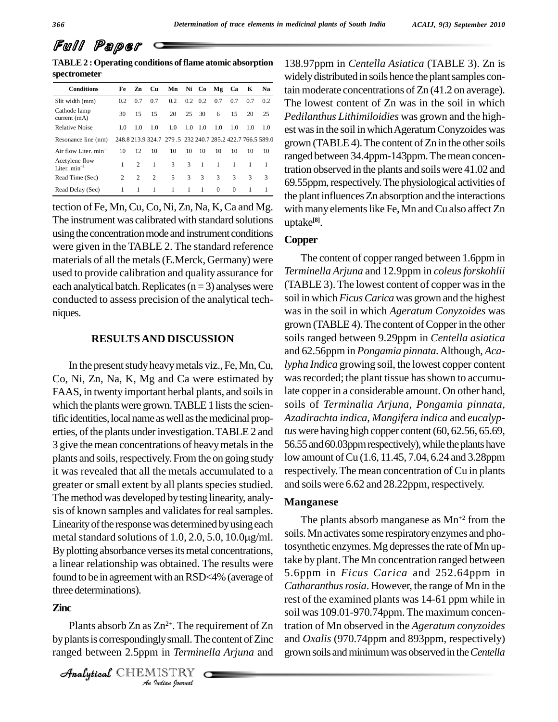# Full Paper

**TABLE2 : Operating conditions offlame atomic absorption spectrometer**

| <b>Conditions</b>                   | Fe             | Zn             | Cu  |                                                            |     |     | Mn Ni Co Mg Ca |          | K             | Na. |
|-------------------------------------|----------------|----------------|-----|------------------------------------------------------------|-----|-----|----------------|----------|---------------|-----|
| Slit width (mm)                     | 0.2            | 0.7            | 0.7 | 0.2                                                        | 0.2 | 0.2 | 0.7            | 0.7      | 0.7           | 0.2 |
| Cathode lamp<br>current(mA)         | 30             | 15             | 15  | 20                                                         | 25  | 30  | 6              | 15       | 20            | 25  |
| <b>Relative Noise</b>               | 1.0            | 1.0            | 1.0 | 1.0                                                        | 1.0 | 1.0 | 1.0            | 1.0      | 1.0           | 1.0 |
| Resonance line (nm)                 |                |                |     | 248.8 213.9 324.7 279 .5 232 240.7 285.2 422.7 766.5 589.0 |     |     |                |          |               |     |
| Air flow Liter. $min^{-1}$          | 10             | 12             | 10  | 10                                                         | 10  | 10  | 10             | 10       | 10            | 10  |
| Acetylene flow<br>Liter. $min^{-1}$ | 1              | $\mathfrak{D}$ | 1   | 3                                                          | 3   | -1  |                |          |               |     |
| Read Time (Sec)                     | $\mathfrak{D}$ | 2              | 2   | 5                                                          | 3   | 3   | 3              | 3        | $\mathcal{R}$ | 3   |
| Read Delay (Sec)                    |                |                |     |                                                            |     | 1   | $\Omega$       | $\Omega$ |               |     |

tection of Fe, Mn, Cu, Co, Ni, Zn, Na, K,Ca and Mg. The instrument was calibrated with standard solutions using the concentration mode and instrument conditions were given in the TABLE 2. The standard reference materials of all the metals(E.Merck, Germany) were used to provide calibration and quality assurance for each analytical batch. Replicates  $(n = 3)$  analyses were conducted to assess precision of the analytical tech niques.

#### **RESULTSAND DISCUSSION**

In the present study heavy metals viz., Fe, Mn, Cu, Co, Ni, Zn, Na, K, Mg and Ca were estimated by FAAS, in twenty important herbal plants, and soils in which the plants were grown. TABLE 1 lists the scientific identities, local name as well as the medicinal properties, of the plants under investigation. TABLE 2 and 3 give the mean concentrations of heavy metals in the plants and soils, respectively. From the on going study it was revealed that all the metals accumulated to a greater or small extent by all plants species studied. The method was developed by testing linearity, analysis of known samples and validates for real samples.<br>Linearity of the response was determined by using each<br>metal standard solutions of 1.0, 2.0, 5.0, 10.0µg/ml. Linearity of the response was determined by using each By plotting absorbance verses its metal concentrations, a linear relationship was obtained. The results were found to be in agreement with an RSD<4% (average of three determinations).

## **Zinc**

*Zn<sup>2+</sup>*. The recession<br>gly small. The<br>indian bournal Plants absorb  $Zn$  as  $Zn^{2+}$ . The requirement of  $Zn$  tration by plants is correspondingly small. The content of Zinc ranged between 2.5ppm in *Terminella Arjuna* and

CHEMISTRY

138.97ppm in *Centella Asiatica* (TABLE 3). Zn is widely distributed in soils hence the plant samples contain moderate concentrations of Zn (41.2 on average). The lowest content of Zn was in the soil in which *Pedilanthus Lithimiloidies* was grown and the high est was in the soil in which Ageratum Conyzoides was grown (TABLE4). The content of  $Zn$  in the other soils ranged between 34.4ppm-143ppm. The mean concentration observed in the plants and soilswere 41.02 and 69.55ppm, respectively. The physiological activities of the plant influences Zn absorption and the interactions with many elements like Fe, Mn and Cu also affect Zn uptake **[8]**.

### **Copper**

The content of copper ranged between 1.6ppm in *Terminella Arjuna* and 12.9ppm in *coleusforskohlii* (TABLE 3). The lowest content of copper was in the soil in which *Ficus Carica* was grown and the highest was in the soil in which *Ageratum Conyzoides* was grown (TABLE 4). The content of Copper in the other soils ranged between 9.29ppm in *Centella asiatica* and 62.56ppm in *Pongamia pinnata.*Although, *Aca*lypha Indica growing soil, the lowest copper content was recorded; the plant tissue has shown to accumulate copper in a considerable amount. On other hand, soils of *Terminalia Arjuna, Pongamia pinnata, Azadirachta indica, Mangifera indica* and *eucalyptus* were having high copper content(60, 62.56, 65.69, 56.55and60.03ppmrespectively),while theplantshave low amount ofCu (1.6, 11.45, 7.04, 6.24 and 3.28ppm respectively.The mean concentration of Cu in plants and soils were 6.62 and 28.22ppm, respectively.

#### **Manganese**

The plants absorb manganese as  $Mn^{2}$  from the soils. Mn activates some respiratory enzymes and photosynthetic enzymes. Mg depresses the rate of Mn uptake by plant. The Mn concentration ranged between 5.6ppm in *Ficus Carica* and 252.64ppm in Catharanthus rosia. However, the range of Mn in the rest of the examined plants was 14-61 ppm while in soil was 109.01-970.74ppm. The maximum concentration of Mn observed in the *Ageratum conyzoides* and *Oxalis* (970.74ppm and 893ppm, respectively) grown soils andminimumwas observedin the*Centella*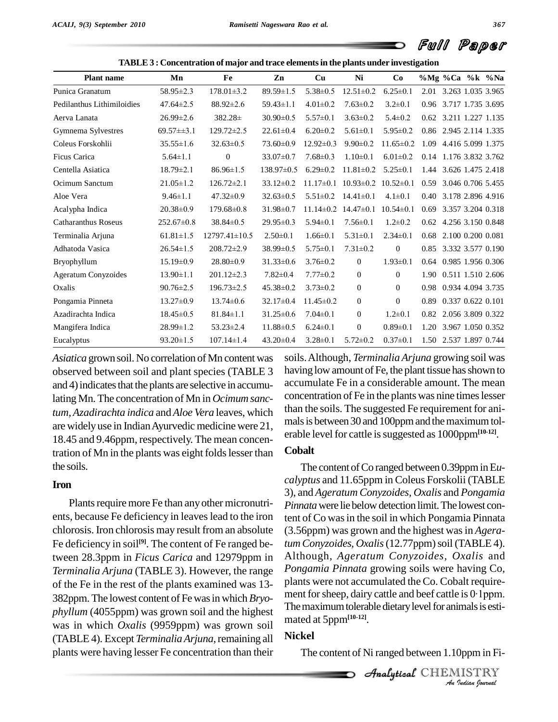| TABLE 3 : Concentration of major and trace elements in the plants under investigation |
|---------------------------------------------------------------------------------------|
|---------------------------------------------------------------------------------------|

| <b>Plant</b> name          | Mn               | Fe                  | Zn              | Cu              | Ni                                        | Co              |      | %Mg %Ca %k %Na         |  |
|----------------------------|------------------|---------------------|-----------------|-----------------|-------------------------------------------|-----------------|------|------------------------|--|
| Punica Granatum            | 58.95±2.3        | $178.01 \pm 3.2$    | $89.59 \pm 1.5$ | $5.38 \pm 0.5$  | $12.51 \pm 0.2$                           | $6.25 \pm 0.1$  |      | 2.01 3.263 1.035 3.965 |  |
| Pedilanthus Lithimiloidies | $47.64 \pm 2.5$  | $88.92 \pm 2.6$     | $59.43 \pm 1.1$ | $4.01 \pm 0.2$  | $7.63 \pm 0.2$                            | $3.2 \pm 0.1$   |      | 0.96 3.717 1.735 3.695 |  |
| Aerva Lanata               | $26.99 \pm 2.6$  | 382.28±             | $30.90 \pm 0.5$ | $5.57 \pm 0.1$  | $3.63 \pm 0.2$                            | $5.4 \pm 0.2$   |      | 0.62 3.211 1.227 1.135 |  |
| Gymnema Sylvestres         | $69.57 \pm 3.1$  | $129.72 \pm 2.5$    | $22.61 \pm 0.4$ | $6.20 \pm 0.2$  | $5.61 \pm 0.1$                            | $5.95 \pm 0.2$  |      | 0.86 2.945 2.114 1.335 |  |
| Coleus Forskohlii          | $35.55 \pm 1.6$  | $32.63 \pm 0.5$     | $73.60 \pm 0.9$ | $12.92 \pm 0.3$ | $9.90 \pm 0.2$                            | $11.65 \pm 0.2$ | 1.09 | 4.416 5.099 1.375      |  |
| Ficus Carica               | $5.64 \pm 1.1$   | $\boldsymbol{0}$    | $33.07 \pm 0.7$ | $7.68 \pm 0.3$  | $1.10 \pm 0.1$                            | $6.01 \pm 0.2$  |      | 0.14 1.176 3.832 3.762 |  |
| Centella Asiatica          | $18.79 \pm 2.1$  | $86.96 \pm 1.5$     | $138.97\pm0.5$  | $6.29 \pm 0.2$  | $11.81 \pm 0.2$                           | $5.25 \pm 0.1$  |      | 1.44 3.626 1.475 2.418 |  |
| Ocimum Sanctum             | $21.05 \pm 1.2$  | $126.72 \pm 2.1$    | $33.12 \pm 0.2$ |                 | $11.17\pm0.1$ $10.93\pm0.2$ $10.52\pm0.1$ |                 |      | 0.59 3.046 0.706 5.455 |  |
| Aloe Vera                  | $9.46 \pm 1.1$   | $47.32 \pm 0.9$     | $32.63 \pm 0.5$ | $5.51 \pm 0.2$  | $14.41 \pm 0.1$                           | $4.1 \pm 0.1$   |      | 0.40 3.178 2.896 4.916 |  |
| Acalypha Indica            | $20.38 \pm 0.9$  | $179.68\pm0.8$      | $31.98 \pm 0.7$ | $11.14 \pm 0.2$ | $14.47 \pm 0.1$                           | $10.54 \pm 0.1$ | 0.69 | 3.357 3.204 0.318      |  |
| Catharanthus Roseus        | $252.67 \pm 0.8$ | $38.84 \pm 0.5$     | $29.95 \pm 0.3$ | $5.94 \pm 0.1$  | $7.56 \pm 0.1$                            | $1.2 \pm 0.2$   |      | 0.62 4.256 3.150 0.848 |  |
| Terminalia Arjuna          | $61.81 \pm 1.5$  | $12797.41 \pm 10.5$ | $2.50 \pm 0.1$  | $1.66 \pm 0.1$  | $5.31 \pm 0.1$                            | $2.34\pm0.1$    |      | 0.68 2.100 0.200 0.081 |  |
| Adhatoda Vasica            | $26.54 \pm 1.5$  | $208.72 \pm 2.9$    | $38.99 \pm 0.5$ | $5.75 \pm 0.1$  | $7.31 \pm 0.2$                            | $\mathbf{0}$    |      | 0.85 3.332 3.577 0.190 |  |
| <b>Bryophyllum</b>         | $15.19 \pm 0.9$  | $28.80 \pm 0.9$     | $31.33 \pm 0.6$ | $3.76 \pm 0.2$  | $\mathbf{0}$                              | $1.93 \pm 0.1$  |      | 0.64 0.985 1.956 0.306 |  |
| <b>Ageratum Conyzoides</b> | $13.90 \pm 1.1$  | $201.12 \pm 2.3$    | $7.82 \pm 0.4$  | $7.77 \pm 0.2$  | $\mathbf{0}$                              | $\mathbf{0}$    | 1.90 | 0.511 1.510 2.606      |  |
| Oxalis                     | $90.76 \pm 2.5$  | $196.73 \pm 2.5$    | $45.38 \pm 0.2$ | $3.73 \pm 0.2$  | $\overline{0}$                            | $\overline{0}$  |      | 0.98 0.934 4.094 3.735 |  |
| Pongamia Pinneta           | $13.27 \pm 0.9$  | $13.74 \pm 0.6$     | $32.17 \pm 0.4$ | $11.45 \pm 0.2$ | $\mathbf{0}$                              | $\overline{0}$  | 0.89 | 0.337 0.622 0.101      |  |
| Azadirachta Indica         | $18.45 \pm 0.5$  | $81.84 \pm 1.1$     | $31.25 \pm 0.6$ | $7.04 \pm 0.1$  | $\overline{0}$                            | $1.2 \pm 0.1$   | 0.82 | 2.056 3.809 0.322      |  |
| Mangifera Indica           | $28.99 \pm 1.2$  | $53.23 \pm 2.4$     | $11.88 \pm 0.5$ | $6.24 \pm 0.1$  | $\boldsymbol{0}$                          | $0.89 \pm 0.1$  | 1.20 | 3.967 1.050 0.352      |  |
| Eucalyptus                 | $93.20 \pm 1.5$  | $107.14 \pm 1.4$    | $43.20 \pm 0.4$ | $3.28 \pm 0.1$  | $5.72 \pm 0.2$                            | $0.37 \pm 0.1$  |      | 1.50 2.537 1.897 0.744 |  |

Asiatica grown soil. No correlation of Mn content was observed between soil and plant species (TABLE 3 and 4) indicates that the plants are selective in accumulating Mn. The concentration of Mn in *Ocimum sanctum,Azadirachta indica* and*Aloe Vera* leaves, which are widely use in Indian Ayurvedic medicine were 21,<br>18.45 and 9.46ppm, respectively. The mean concentration of Mn in the plants was eight folds lesser than the soils.

#### **Iron**

Plants require more Fe than any other micronutrients, because Fe deficiency in leaveslead to the iron chlorosis. Iron chlorosis may result from an absolute Fe deficiency in soil<sup>[9]</sup>. The content of Fe ranged be- tun tween 28.3ppm in *Ficus Carica* and 12979ppm in *Terminalia Arjuna* (TABLE 3). However, the range of the Fe in the rest of the plants examined was 13-<br>382ppm. The lowest content of Fe was in which  $R_{TQ}$  ment for sheep, dairy cattle and beef cattle is 0.1ppm. 382ppm.The lowest content of Fe wasin which*Bryo phyllum* (4055ppm) was grown soiland the highest was in which *Oxalis* (9959ppm) was grown soil (TABLE 4). Except *TerminaliaArjuna*,remaining all plants were having lesser Fe concentration than their

soils.Although, *TerminaliaArjuna* growing soil was having low amount of Fe, the plant tissue has shown to accumulate Fe in a considerable amount. The mean concentration of Fe in the plants was nine times lesser than the soils. The suggested Fe requirement for ani mals is between 30 and 100ppm and the maximum tolerable level for cattle is suggested as 1000ppm<sup>[10-12]</sup>.

#### **Cobalt**

The maximum tolerable dietary level for animals is esti-<br> $A \times \mathbb{Z}$  and  $B \times \mathbb{Z}$ *Indian*<br>*I*<br>*IISTRY<br><i>Indian Iournal* The content of Co ranged between 0.39ppm in Eu*calyptus* and 11.65ppm in Coleus Forskolii (TABLE 3), and *Ageratum Conyzoides, Oxalis* and *Pongamia Pinnata* were lie below detection limit. The lowest content of Co was in the soil in which Pongamia Pinnata (3.56ppm) was grown and the highest wasin *Ageratum Conyzoides, Oxalis*(12.77ppm)soil (TABLE 4). Although, *Ageratum Conyzoides, Oxalis* and *Pongamia Pinnata* growing soils were having Co, plants were not accumulated the Co. Cobalt require- Pongamia Pinnata growing soils were having Co,<br>plants were not accumulated the Co. Cobalt require-<br>ment for sheep, dairy cattle and beef cattle is 0·1ppm. mated at 5ppm**[10-12]**.

### **Nickel**

The content of Ni ranged between 1.10ppm in Fi-

**Analytical** CHEMISTRY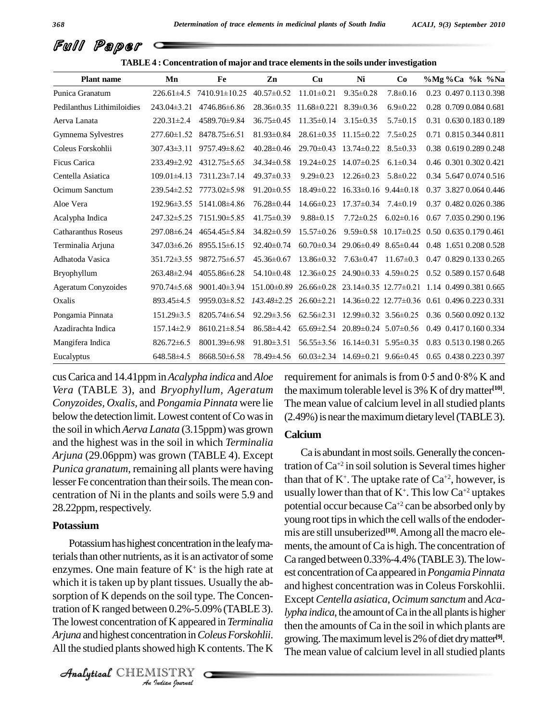

| TABLE 4 : Concentration of major and trace elements in the soils under investigation |  |
|--------------------------------------------------------------------------------------|--|
|--------------------------------------------------------------------------------------|--|

| <b>Plant name</b>          | Mn                | Fe                           | Zn               | Cu                                               | Ni                                                | Co              | %Mg %Ca %k %Na                                                                      |
|----------------------------|-------------------|------------------------------|------------------|--------------------------------------------------|---------------------------------------------------|-----------------|-------------------------------------------------------------------------------------|
| Punica Granatum            | $226.61\pm4.5$    | 7410.91±10.25                | $40.57 \pm 0.52$ | $11.01 \pm 0.21$                                 | $9.35 \pm 0.28$                                   | $7.8 \pm 0.16$  | 0.23 0.497 0.113 0.398                                                              |
| Pedilanthus Lithimiloidies | $243.04\pm3.21$   | 4746.86±6.86                 |                  | $28.36\pm0.35$ 11.68 $\pm$ 0.221 8.39 $\pm$ 0.36 |                                                   | $6.9 \pm 0.22$  | 0.28 0.709 0.084 0.681                                                              |
| Aerva Lanata               | $220.31 \pm 2.4$  | 4589.70±9.84                 | $36.75 \pm 0.45$ | $11.35 \pm 0.14$                                 | $3.15 \pm 0.35$                                   | $5.7 \pm 0.15$  | 0.31 0.630 0.183 0.189                                                              |
| Gymnema Sylvestres         | $277.60 \pm 1.52$ | $8478.75 \pm 6.51$           | $81.93 \pm 0.84$ | $28.61 \pm 0.35$ 11.15 $\pm$ 0.22                |                                                   | $7.5 \pm 0.25$  | 0.71 0.815 0.344 0.811                                                              |
| Coleus Forskohlii          | $307.43 \pm 3.11$ | 9757.49±8.62                 | $40.28 \pm 0.46$ |                                                  | $29.70 \pm 0.43$ 13.74 $\pm 0.22$                 | $8.5 \pm 0.33$  | 0.38 0.619 0.289 0.248                                                              |
| Ficus Carica               | 233.49±2.92       | $4312.75 \pm 5.65$           | $34.34 \pm 0.58$ |                                                  | $19.24 \pm 0.25$ $14.07 \pm 0.25$                 | $6.1 \pm 0.34$  | 0.46 0.301 0.302 0.421                                                              |
| Centella Asiatica          | $109.01 \pm 4.13$ | $7311.23 \pm 7.14$           | $49.37 \pm 0.33$ | $9.29 \pm 0.23$                                  | $12.26 \pm 0.23$                                  | $5.8 \pm 0.22$  | 0.34 5.647 0.074 0.516                                                              |
| Ocimum Sanctum             | $239.54 \pm 2.52$ | 7773.02±5.98                 | $91.20 \pm 0.55$ | $18.49 \pm 0.22$                                 | $16.33\pm0.16$ 9.44 $\pm$ 0.18                    |                 | 0.37 3.827 0.064 0.446                                                              |
| Aloe Vera                  | $192.96\pm3.55$   | 5141.08 ± 4.86               | $76.28\pm0.44$   | $14.66\pm0.23$                                   | $17.37 \pm 0.34$                                  | $7.4 \pm 0.19$  | 0.37 0.482 0.026 0.386                                                              |
| Acalypha Indica            | $247.32 \pm 5.25$ | 7151.90 ± 5.85               | $41.75 \pm 0.39$ | $9.88 \pm 0.15$                                  | $7.72 \pm 0.25$                                   | $6.02\pm0.16$   | 0.67 7.035 0.290 0.196                                                              |
| Catharanthus Roseus        |                   | 297.08 ± 6.24 4654.45 ± 5.84 | $34.82 \pm 0.59$ | $15.57 \pm 0.26$                                 |                                                   |                 | $9.59\pm0.58$ 10.17 $\pm$ 0.25 0.50 0.635 0.179 0.461                               |
| Terminalia Arjuna          | $347.03\pm 6.26$  | $8955.15 \pm 6.15$           | $92.40 \pm 0.74$ | $60.70 \pm 0.34$                                 | 29.06±0.49 8.65±0.44                              |                 | 0.48 1.651 0.208 0.528                                                              |
| Adhatoda Vasica            | $351.72 \pm 3.55$ | 9872.75 ± 6.57               | $45.36 \pm 0.67$ | $13.86 \pm 0.32$                                 | $7.63 \pm 0.47$                                   | $11.67 \pm 0.3$ | 0.47 0.829 0.133 0.265                                                              |
| Bryophyllum                | 263.48±2.94       | $4055.86\pm 6.28$            | $54.10 \pm 0.48$ |                                                  | $12.36\pm0.25$ $24.90\pm0.33$ $4.59\pm0.25$       |                 | 0.52 0.589 0.157 0.648                                                              |
| <b>Ageratum Conyzoides</b> | $970.74 \pm 5.68$ | $9001.40\pm3.94$             | $151.00\pm0.89$  |                                                  |                                                   |                 | $26.66\pm0.28$ $23.14\pm0.35$ $12.77\pm0.21$ 1.14 0.499 0.381 0.665                 |
| Oxalis                     | 893.45±4.5        | 9959.03 ± 8.52               |                  |                                                  |                                                   |                 | $143.48\pm2.25$ $26.60\pm2.21$ $14.36\pm0.22$ $12.77\pm0.36$ 0.61 0.496 0.223 0.331 |
| Pongamia Pinnata           | $151.29 \pm 3.5$  | $8205.74\pm 6.54$            | $92.29 \pm 3.56$ | $62.56 \pm 2.31$                                 | $12.99\pm0.32$ 3.56 $\pm$ 0.25                    |                 | 0.36 0.560 0.092 0.132                                                              |
| Azadirachta Indica         | $157.14 \pm 2.9$  | $8610.21 \pm 8.54$           | 86.58±4.42       |                                                  | $65.69 \pm 2.54$ $20.89 \pm 0.24$ $5.07 \pm 0.56$ |                 | 0.49 0.417 0.160 0.334                                                              |
| Mangifera Indica           | $826.72 \pm 6.5$  | $8001.39 \pm 6.98$           | $91.80 \pm 3.51$ |                                                  | $56.55\pm3.56$ $16.14\pm0.31$ $5.95\pm0.35$       |                 | 0.83 0.513 0.198 0.265                                                              |
| Eucalyptus                 | $648.58\pm4.5$    | 8668.50±6.58                 | 78.49±4.56       |                                                  |                                                   |                 | $60.03 \pm 2.34$ 14.69 $\pm$ 0.21 9.66 $\pm$ 0.45 0.65 0.438 0.223 0.397            |

cusCarica and 14.41ppmin*Acalypha indica* and*Aloe Vera* (TABLE 3), and *Bryophyllum, Ageratum Conyzoides, Oxalis,* and *Pongamia Pinnata* were lie below the detection limit. Lowest content of Co was in the soil in which *Aerva Lanata* (3.15ppm) was grown and the highest was in the soil in which *Terminalia Arjuna* (29.06ppm) was grown (TABLE 4). Except *Punica granatum*, remaining all plants were having lesser Fe concentration than their soils. The mean concentration of Ni in the plants and soils were 5.9 and 28.22ppm, respectively.

#### **Potassium**

tration of K ranged between 0.2%-5.09% (TABLE 3).  $\frac{20}{ly}$ **IEREN**<br>**Indian** *ISM*<br>**Indian** *Indian*<br>*Indian Journal* Potassium has highest concentration in the leafy materials than other nutrients, as it is an activator of some enzymes. One main feature of  $K^+$  is the high rate at  $\epsilon_{est}$ . which it is taken up by plant tissues. Usually the absorption of K depends on the soil type. The Concen-The lowest concentration of K appeared in *Terminalia Arjuna* and highest concentration in*ColeusForskohlii*. All the studied plants showed high K contents. The K

CHEMISTRY

requirement for animals is from  $0.5$  and  $0.8\%$  K and the maximum tolerable level is 3% K of drymatter **[10]**. The mean value of calcium level in all studied plants (2.49%) is near the maximum dietary level (TABLE 3).

#### **Calcium**

Ca is abundant in most soils. Generally the concentration of Ca<sup>+2</sup> in soil solution is Several times higher than that of  $K^{\scriptscriptstyle +}$ . The uptake rate of  $\rm Ca^{+2}$ , however, is usually lower than that of K<sup>+</sup>. This low  $\rm Ca^{+2}$  uptakes potential occur because  $Ca^{+2}$  can be absorbed only by young root tips in which the cell walls of the endodermis are still unsuberized **[10]**.Among all the macro ele ments, the amount of Ca is high. The concentration of Ca ranged between 0.33%-4.4%(TABLE3).The low est concentration ofCa appeared in*PongamiaPinnata* and highest concentration was in Coleus Forskohlii. Except *Centella asiatica*, *Ocimum sanctum* and *Acalypha indica*, the amount of Ca in the all plants is higher then the amounts of Ca in the soil in which plants are growing. The maximum level is 2% of diet dry matter<sup>[9]</sup>. The mean value of calcium level in all studied plants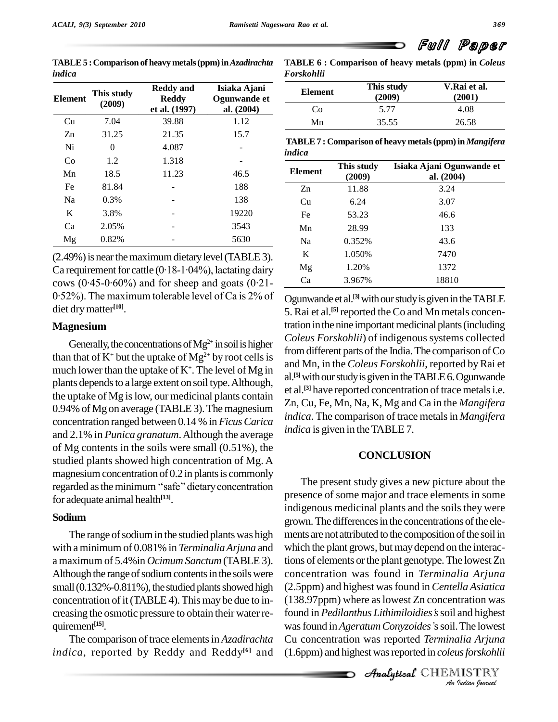| ,,,,,,,,,      |                      |                                                   |                                            |
|----------------|----------------------|---------------------------------------------------|--------------------------------------------|
| <b>Element</b> | This study<br>(2009) | <b>Reddy and</b><br><b>Reddy</b><br>et al. (1997) | Isiaka Ajani<br>Ogunwande et<br>al. (2004) |
| Cu             | 7.04                 | 39.88                                             | 1.12                                       |
| Zn             | 31.25                | 21.35                                             | 15.7                                       |
| Ni             | 0                    | 4.087                                             |                                            |
| Co             | 1.2                  | 1.318                                             |                                            |
| Mn             | 18.5                 | 11.23                                             | 46.5                                       |
| Fe             | 81.84                |                                                   | 188                                        |
| Na             | 0.3%                 |                                                   | 138                                        |
| K              | 3.8%                 |                                                   | 19220                                      |
| Ca             | 2.05%                |                                                   | 3543                                       |
| Mg             | 0.82%                |                                                   | 5630                                       |

**TABLE5 :Comparison of heavy metals(ppm)in***Azadirachta indica*

 $(2.49\%)$  is near the maximum dietary level (TABLE 3). Ca requirement for cattle  $(0.18-1.04\%)$ , lactating dairy  $(2.49\%)$  is near the maximum dietary level (TABLE 3).<br>Ca requirement for cattle  $(0.18-1.04\%)$ , lactating dairy cows  $(0.45-0.60\%)$  and for sheep and goats  $(0.21-$ Ca requirement for cattle (0.18-1.04%), lactating dairy<br>cows (0.45-0.60%) and for sheep and goats (0.21-<br>0.52%). The maximum tolerable level of Ca is 2% of Ogunwand diet drymatter **[10]**.

#### **Magnesium**

Generally, the concentrations of Mg<sup>2+</sup> in soil is higher  $\frac{C_{\alpha}}{C_{\alpha}}$ than that of K<sup>+</sup> but the uptake of Mg<sup>2+</sup> by root cells is much lower than the uptake of  $K^+$ . The level of Mg in  $\frac{dH}{d\ln R}$ plants depends to a large extent on soil type. Although, the uptake of Mg islow, our medicinal plants contain 0.94% of Mg on average (TABLE 3). The magnesium concentration ranged between 0.14 % in *Ficus Carica* and 2.1% in *Punica granatum*.Although the average of Mg contents in the soils were small (0.51%), the studied plants showed high concentration of Mg. A magnesium concentration of  $0.2$  in plants is commonly regarded as the minimum "safe" dietary concentration for adequate animal health **[13]**.

#### **Sodium**

The range of sodium in the studied plants was high with a minimum of 0.081% in *TerminaliaArjuna* and a maximum of 5.4%in *Ocimum Sanctum* (TABLE 3). Although the range of sodium contents in the soils were small (0.132%-0.811%), the studied plants showed high concentration of it (TABLE 4). This may be due to in-<br>creasing the osmotic pressure to obtain their water requirement **[15]**.

The comparison of trace elements in *Azadirachta* indica, reported by Reddy and Reddy<sup>[6]</sup> and (1.6ppi

**TABLE 6 : Comparison of heavy metals (ppm) in** *Coleus Forskohlii*

| <b>Element</b> | This study<br>(2009) | V.Rai et al.<br>(2001) |
|----------------|----------------------|------------------------|
| Cо             | 5.77                 | 4.08                   |
| Mn             | 35.55                | 26.58                  |

**TABLE7 : Comparison of heavy metals(ppm)in** *Mangifera indica*

| <b>Element</b> | This study<br>(2009) | Isiaka Ajani Ogunwande et<br>al. (2004) |
|----------------|----------------------|-----------------------------------------|
| Zn             | 11.88                | 3.24                                    |
| Cu             | 6.24                 | 3.07                                    |
| Fe             | 53.23                | 46.6                                    |
| Mn             | 28.99                | 133                                     |
| Na             | 0.352%               | 43.6                                    |
| K              | 1.050%               | 7470                                    |
| Mg             | 1.20%                | 1372                                    |
| Ca             | 3.967%               | 18810                                   |

Ogunwande et al.<sup>[3]</sup> with our study is given in the TABLE 5. Rai et al. **[5]** reported theCo and Mn metals concentration in the nine important medicinal plants (including *Coleus Forskohlii*) of indigenous systems collected from different parts of the India. The comparison of Co and Mn, in the *Coleus Forskohlii*, reported by Rai et al.<sup>[5]</sup> with our study is given in the TABLE 6. Ogunwande et al.<sup>[3]</sup> have reported concentration of trace metals i.e. Zn, Cu, Fe, Mn, Na, K, Mg and Ca in the *Mangifera indica*. The comparison of trace metals in *Mangifera indica* is given in the TABLE 7.

#### **CONCLUSION**

*An*(138.97ppm) where aslowest Zn concentration was *Indiana*<br>*India Arjuna*<br>*Ilia Arjuna*<br>*ISTRY*<br>*ISTRY* found in Pedilanthus Lithimiloidies's soil and highest The present study gives a new picture about the presence of some major and trace elements in some indigenous medicinal plants and the soils they were grown. The differences in the concentrations of the elements are not attributed to the composition of the soil in which the plant grows, but maydepend on the interactions of elements or the plant genotype. The lowest Zn concentration was found in *Terminalia Arjuna* (2.5ppm) and highest wasfound in *Centella Asiatica* (2.5ppm) and highest was found in *Centella Asiatica*<br>(138.97ppm) where as lowest Zn concentration was<br>found in *Pedilanthus Lithimiloidies 's* soil and highest (138.97ppm) where as lowest Zn concentration was<br>found in *Pedilanthus Lithimiloidies's* soil and highest<br>was found in *Ageratum Conyzoides'*s soil. The lowest Cu concentration was reported *Terminalia Arjuna* (1.6ppm) and highestwasreported in *coleusforskohlii*

**Analytical** CHEMISTRY